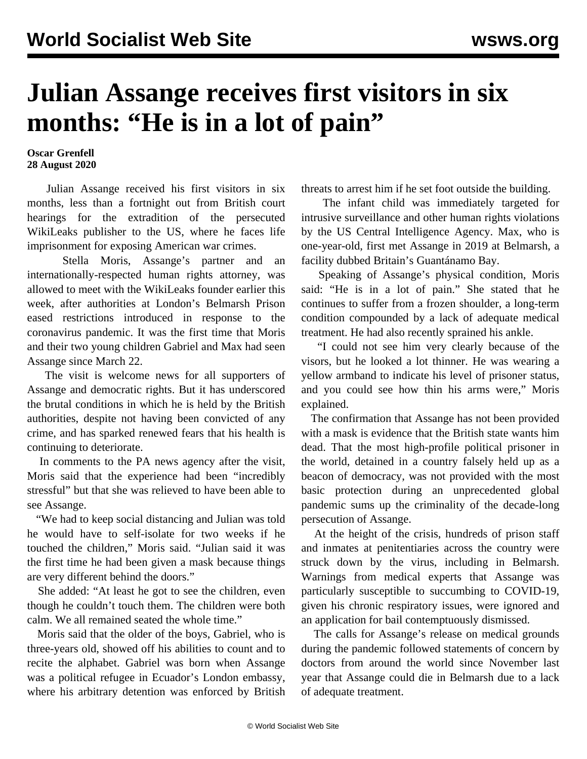## **Julian Assange receives first visitors in six months: "He is in a lot of pain"**

## **Oscar Grenfell 28 August 2020**

 Julian Assange received his first visitors in six months, less than a fortnight out from British court hearings for the extradition of the persecuted WikiLeaks publisher to the US, where he faces life imprisonment for exposing American war crimes.

 Stella Moris, Assange's partner and an internationally-respected human rights attorney, was allowed to meet with the WikiLeaks founder earlier this week, after authorities at London's Belmarsh Prison eased restrictions introduced in response to the coronavirus pandemic. It was the first time that Moris and their two young children Gabriel and Max had seen Assange since March 22.

 The visit is welcome news for all supporters of Assange and democratic rights. But it has underscored the brutal conditions in which he is held by the British authorities, despite not having been convicted of any crime, and has sparked renewed fears that his health is continuing to deteriorate.

 In comments to the PA news agency after the visit, Moris said that the experience had been "incredibly stressful" but that she was relieved to have been able to see Assange.

 "We had to keep social distancing and Julian was told he would have to self-isolate for two weeks if he touched the children," Moris said. "Julian said it was the first time he had been given a mask because things are very different behind the doors."

 She added: "At least he got to see the children, even though he couldn't touch them. The children were both calm. We all remained seated the whole time."

 Moris said that the older of the boys, Gabriel, who is three-years old, showed off his abilities to count and to recite the alphabet. Gabriel was born when Assange was a political refugee in Ecuador's London embassy, where his arbitrary detention was enforced by British threats to arrest him if he set foot outside the building.

 The infant child was immediately targeted for intrusive surveillance and other human rights violations by the US Central Intelligence Agency. Max, who is one-year-old, first met Assange in 2019 at Belmarsh, a facility dubbed Britain's Guantánamo Bay.

 Speaking of Assange's physical condition, Moris said: "He is in a lot of pain." She stated that he continues to suffer from a frozen shoulder, a long-term condition compounded by a lack of adequate medical treatment. He had also recently sprained his ankle.

 "I could not see him very clearly because of the visors, but he looked a lot thinner. He was wearing a yellow armband to indicate his level of prisoner status, and you could see how thin his arms were," Moris explained.

 The confirmation that Assange has not been provided with a mask is evidence that the British state wants him dead. That the most high-profile political prisoner in the world, detained in a country falsely held up as a beacon of democracy, was not provided with the most basic protection during an unprecedented global pandemic sums up the criminality of the decade-long persecution of Assange.

 At the height of the crisis, hundreds of prison staff and inmates at penitentiaries across the country were struck down by the virus, including in Belmarsh. Warnings from medical experts that Assange was particularly susceptible to succumbing to COVID-19, given his chronic respiratory issues, were ignored and an application for bail contemptuously dismissed.

 The calls for Assange's release on medical grounds during the pandemic followed statements of concern by doctors from around the world since November last year that Assange could die in Belmarsh due to a lack of adequate treatment.